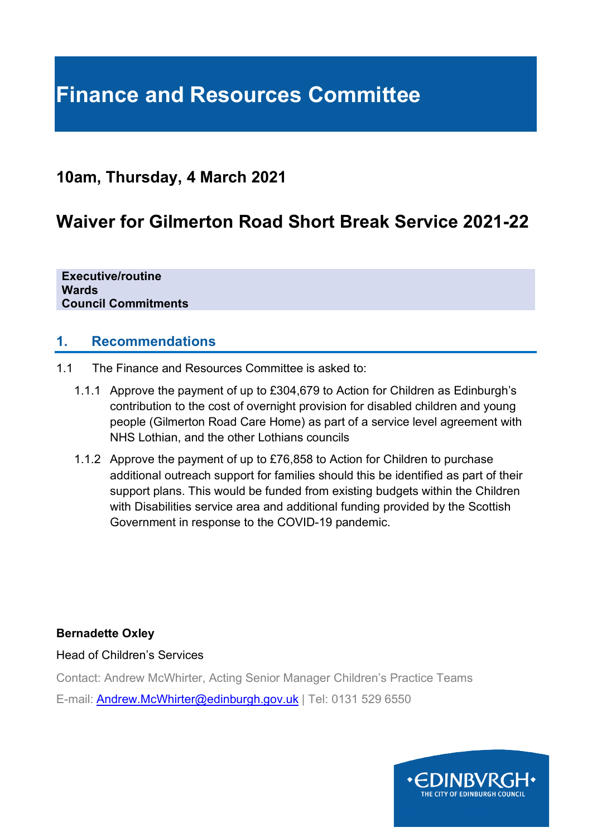# **Finance and Resources Committee**

# **10am, Thursday, 4 March 2021**

# **Waiver for Gilmerton Road Short Break Service 2021-22**

**Executive/routine Wards Council Commitments**

#### **1. Recommendations**

- 1.1 The Finance and Resources Committee is asked to:
	- 1.1.1 Approve the payment of up to £304,679 to Action for Children as Edinburgh's contribution to the cost of overnight provision for disabled children and young people (Gilmerton Road Care Home) as part of a service level agreement with NHS Lothian, and the other Lothians councils
	- 1.1.2 Approve the payment of up to £76,858 to Action for Children to purchase additional outreach support for families should this be identified as part of their support plans. This would be funded from existing budgets within the Children with Disabilities service area and additional funding provided by the Scottish Government in response to the COVID-19 pandemic.

#### **Bernadette Oxley**

Head of Children's Services

Contact: Andrew McWhirter, Acting Senior Manager Children's Practice Teams

E-mail: [Andrew.McWhirter@edinburgh.gov.uk](mailto:Andrew.McWhirter@edinburgh.gov.uk) | Tel: 0131 529 6550

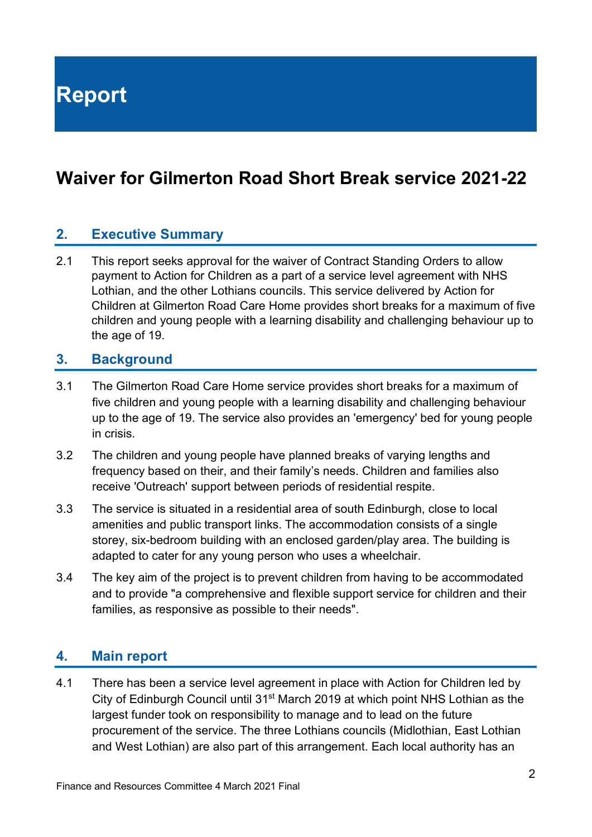**Report**

# **Waiver for Gilmerton Road Short Break service 2021-22**

## **2. Executive Summary**

2.1 This report seeks approval for the waiver of Contract Standing Orders to allow payment to Action for Children as a part of a service level agreement with NHS Lothian, and the other Lothians councils. This service delivered by Action for Children at Gilmerton Road Care Home provides short breaks for a maximum of five children and young people with a learning disability and challenging behaviour up to the age of 19.

#### **3. Background**

- 3.1 The Gilmerton Road Care Home service provides short breaks for a maximum of five children and young people with a learning disability and challenging behaviour up to the age of 19. The service also provides an 'emergency' bed for young people in crisis.
- 3.2 The children and young people have planned breaks of varying lengths and frequency based on their, and their family's needs. Children and families also receive 'Outreach' support between periods of residential respite.
- 3.3 The service is situated in a residential area of south Edinburgh, close to local amenities and public transport links. The accommodation consists of a single storey, six-bedroom building with an enclosed garden/play area. The building is adapted to cater for any young person who uses a wheelchair.
- 3.4 The key aim of the project is to prevent children from having to be accommodated and to provide "a comprehensive and flexible support service for children and their families, as responsive as possible to their needs".

#### **4. Main report**

4.1 There has been a service level agreement in place with Action for Children led by City of Edinburgh Council until 31st March 2019 at which point NHS Lothian as the largest funder took on responsibility to manage and to lead on the future procurement of the service. The three Lothians councils (Midlothian, East Lothian and West Lothian) are also part of this arrangement. Each local authority has an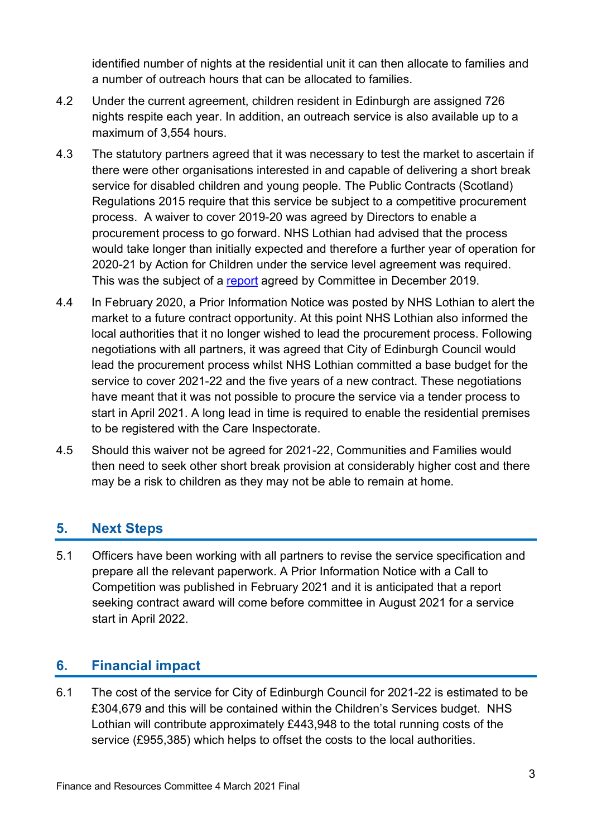identified number of nights at the residential unit it can then allocate to families and a number of outreach hours that can be allocated to families.

- 4.2 Under the current agreement, children resident in Edinburgh are assigned 726 nights respite each year. In addition, an outreach service is also available up to a maximum of 3,554 hours.
- 4.3 The statutory partners agreed that it was necessary to test the market to ascertain if there were other organisations interested in and capable of delivering a short break service for disabled children and young people. The Public Contracts (Scotland) Regulations 2015 require that this service be subject to a competitive procurement process. A waiver to cover 2019-20 was agreed by Directors to enable a procurement process to go forward. NHS Lothian had advised that the process would take longer than initially expected and therefore a further year of operation for 2020-21 by Action for Children under the service level agreement was required. This was the subject of a [report](https://democracy.edinburgh.gov.uk/documents/s11698/Item%207.14%20-%20Waiver%20for%20Gilmerton%20Road%20Short%20Break%20Service.pdf) agreed by Committee in December 2019.
- 4.4 In February 2020, a Prior Information Notice was posted by NHS Lothian to alert the market to a future contract opportunity. At this point NHS Lothian also informed the local authorities that it no longer wished to lead the procurement process. Following negotiations with all partners, it was agreed that City of Edinburgh Council would lead the procurement process whilst NHS Lothian committed a base budget for the service to cover 2021-22 and the five years of a new contract. These negotiations have meant that it was not possible to procure the service via a tender process to start in April 2021. A long lead in time is required to enable the residential premises to be registered with the Care Inspectorate.
- 4.5 Should this waiver not be agreed for 2021-22, Communities and Families would then need to seek other short break provision at considerably higher cost and there may be a risk to children as they may not be able to remain at home.

## **5. Next Steps**

5.1 Officers have been working with all partners to revise the service specification and prepare all the relevant paperwork. A Prior Information Notice with a Call to Competition was published in February 2021 and it is anticipated that a report seeking contract award will come before committee in August 2021 for a service start in April 2022.

## **6. Financial impact**

6.1 The cost of the service for City of Edinburgh Council for 2021-22 is estimated to be £304,679 and this will be contained within the Children's Services budget. NHS Lothian will contribute approximately £443,948 to the total running costs of the service (£955,385) which helps to offset the costs to the local authorities.